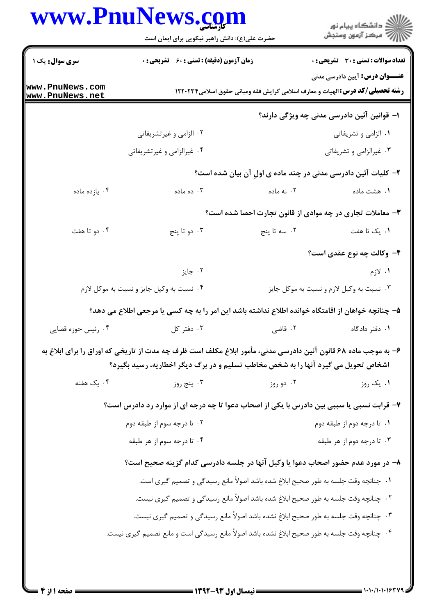## www.PnuNews.com

| ر<br>دانشڪاه پيام نور)<br>ا∛ مرڪز آزمون وسنڊش                                                                                 |                                                                                      | حضرت علی(ع): دانش راهبر نیکویی برای ایمان است                                                                                                                                                              |                                  |  |
|-------------------------------------------------------------------------------------------------------------------------------|--------------------------------------------------------------------------------------|------------------------------------------------------------------------------------------------------------------------------------------------------------------------------------------------------------|----------------------------------|--|
| <b>تعداد سوالات : تستی : 30 - تشریحی : 0</b>                                                                                  |                                                                                      | <b>زمان آزمون (دقیقه) : تستی : 60 ٪ تشریحی : 0</b>                                                                                                                                                         | <b>سری سوال :</b> یک ۱           |  |
| <b>عنـــوان درس:</b> آیین دادرسی مدنی<br><b>رشته تحصیلی/گد درس:</b> الهیات و معارف اسلامی گرایش فقه ومبانی حقوق اسلامی۱۲۲۰۲۳۴ |                                                                                      |                                                                                                                                                                                                            | ww.PnuNews.com<br>ww.PnuNews.net |  |
| ا– قوانین آئین دادرسی مدنی چه ویژگی دارند؟                                                                                    |                                                                                      |                                                                                                                                                                                                            |                                  |  |
| ۰۱ الزامی و تشریفاتی                                                                                                          |                                                                                      | ۰۲ الزامی و غیرتشریفاتی                                                                                                                                                                                    |                                  |  |
| ۰۳ غیرالزامی و تشریفاتی                                                                                                       |                                                                                      | ۰۴ غیرالزامی و غیرتشریفاتی                                                                                                                                                                                 |                                  |  |
| ۲- کلیات آئین دادرسی مدنی در چند ماده ی اول آن بیان شده است؟                                                                  |                                                                                      |                                                                                                                                                                                                            |                                  |  |
| ۰۱ هشت ماده                                                                                                                   | ۰۲ نه ماده                                                                           | ۰۳ ده ماده                                                                                                                                                                                                 | ۰۴ يازده ماده                    |  |
| ۳- معاملات تجاری در چه موادی از قانون تجارت احصا شده است؟                                                                     |                                                                                      |                                                                                                                                                                                                            |                                  |  |
| ۰۱ یک تا هفت                                                                                                                  | ۰۲ سه تا پنج                                                                         | ۰۳ دو تا پنج                                                                                                                                                                                               | ۰۴ دو تا هفت                     |  |
| ۴- وكالت چه نوع عقدى است؟                                                                                                     |                                                                                      |                                                                                                                                                                                                            |                                  |  |
| ۰۱ لازم                                                                                                                       |                                                                                      | ۰۲ جایز                                                                                                                                                                                                    |                                  |  |
|                                                                                                                               | ۰۴ نسبت به وكيل جايز و نسبت به موكل لازم<br>۰۳ نسبت به وکیل لازم و نسبت به موکل جایز |                                                                                                                                                                                                            |                                  |  |
|                                                                                                                               |                                                                                      | ۵– چنانچه خواهان از اقامتگاه خوانده اطلاع نداشته باشد این امر را به چه کسی یا مرجعی اطلاع می دهد؟                                                                                                          |                                  |  |
| ۰۱ دفتر دادگاه                                                                                                                | ۰۲ قاضی                                                                              | ۰۳ دفتر کل                                                                                                                                                                                                 | ۰۴ رئیس حوزه قضایی               |  |
|                                                                                                                               |                                                                                      | ۶– به موجب ماده ۶۸ قانون آئین دادرسی مدنی، مأمور ابلاغ مکلف است ظرف چه مدت از تاریخی که اوراق را برای ابلاغ به<br><b>اشخاص تحویل می گیرد آنها را به شخص مخاطب تسلیم و در برگ دیگر اخطاریه، رسید بگیرد؟</b> |                                  |  |
| ۰۱ یک روز                                                                                                                     | ۰۲ دو روز                                                                            | ۰۳ پنج روز                                                                                                                                                                                                 | ۰۴ یک هفته                       |  |
|                                                                                                                               |                                                                                      | ۷– قرابت نسبی یا سببی بین دادرس با یکی از اصحاب دعوا تا چه درجه ای از موارد رد دادرس است؟                                                                                                                  |                                  |  |
| ۰۱ تا درجه دوم از طبقه دوم                                                                                                    | ۰۲ تا درجه سوم از طبقه دوم                                                           |                                                                                                                                                                                                            |                                  |  |
| ۰۳ تا درجه دوم از هر طبقه                                                                                                     |                                                                                      | ۰۴ تا درجه سوم از هر طبقه                                                                                                                                                                                  |                                  |  |
|                                                                                                                               |                                                                                      | ۸– در مورد عدم حضور اصحاب دعوا یا وکیل آنها در جلسه دادرسی کدام گزینه صحیح است؟                                                                                                                            |                                  |  |
|                                                                                                                               |                                                                                      | ١.  چنانچه وقت جلسه به طور صحيح ابلاغ شده باشد اصولاً مانع رسيدگي و تصميم گيري است.                                                                                                                        |                                  |  |
|                                                                                                                               |                                                                                      | ۰۲ چنانچه وقت جلسه به طور صحیح ابلاغ شده باشد اصولاً مانع رسیدگی و تصمیم گیری نیست.                                                                                                                        |                                  |  |
|                                                                                                                               |                                                                                      | ۰۳ چنانچه وقت جلسه به طور صحیح ابلاغ نشده باشد اصولاً مانع رسیدگی و تصمیم گیری نیست.                                                                                                                       |                                  |  |
|                                                                                                                               |                                                                                      | ۰۴ چنانچه وقت جلسه به طور صحیح ابلاغ نشده باشد اصولاً مانع رسیدگی است و مانع تصمیم گیری نیست.                                                                                                              |                                  |  |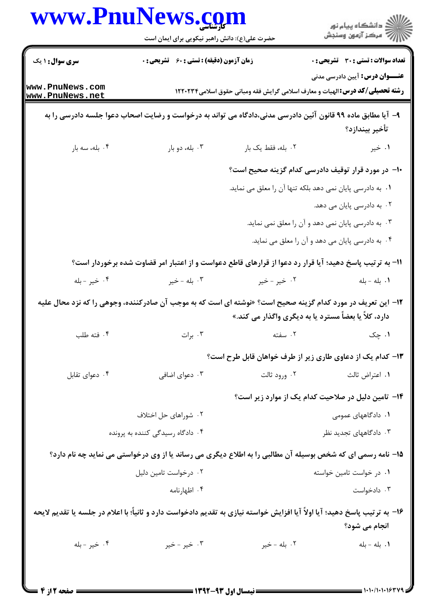|                                    |                                                                                                                                | حضرت علی(ع): دانش راهبر نیکویی برای ایمان است | ڪ دانشڪاه پيا <sub>م</sub> نور<br>∕7 مرڪز آزمون وسنڊش     |
|------------------------------------|--------------------------------------------------------------------------------------------------------------------------------|-----------------------------------------------|-----------------------------------------------------------|
| <b>سری سوال : ۱ یک</b>             | زمان آزمون (دقیقه) : تستی : 60 ٪ تشریحی : 0                                                                                    |                                               | <b>تعداد سوالات : تستی : 30 ٪ تشریحی : 0</b>              |
| www.PnuNews.com<br>www.PnuNews.net | <b>عنــــوان درس:</b> آیین دادرسی مدنی<br><b>رشته تحصیلی/کد درس:</b> الهیات و معارف اسلامی گرایش فقه ومبانی حقوق اسلامی1۲۲۰۲۳۴ |                                               |                                                           |
|                                    | ۹– آیا مطابق ماده ۹۹ قانون آئین دادرسی مدنی،دادگاه می تواند به درخواست و رضایت اصحاب دعوا جلسه دادرسی را به                    |                                               | تأخير بيندازد؟                                            |
| ۰۴ بله، سه بار                     | ۰۳ بله، دو بار                                                                                                                 | ٢. بله، فقط يک بار                            | ۰۱ خیر                                                    |
|                                    |                                                                                                                                |                                               | ∙ا− در مورد قرار توقیف دادرسی کدام گزینه صحیح است؟        |
|                                    |                                                                                                                                |                                               | ٠. به دادرسي پايان نمي دهد بلكه تنها آن را معلق مي نمايد. |
|                                    |                                                                                                                                |                                               | ۲. به دادرسی پایان می دهد.                                |
|                                    |                                                                                                                                |                                               | ۰۳ به دادرسی پایان نمی دهد و آن را معلق نمی نماید.        |
|                                    |                                                                                                                                |                                               | ۰۴ به دادرسی پایان می دهد و آن را معلق می نماید.          |
|                                    | 1۱– به ترتیب پاسخ دهید؛ آیا قرار رد دعوا از قرارهای قاطع دعواست و از اعتبار امر قضاوت شده برخوردار است؟                        |                                               |                                                           |
| ۰۴ خير - بله                       | ۰۳ بله - خير                                                                                                                   | ۰۲ خیر - خیر                                  | ٠١. بله - بله                                             |
|                                    | ۱۲– این تعریف در مورد کدام گزینه صحیح است؟ «نوشته ای است که به موجب آن صادرکننده، وجوهی را که نزد محال علیه                    |                                               | دارد، کلاً یا بعضاً مسترد یا به دیگری واگذار می کند.»     |
| ۰۴ فته طلب                         | ۰۳ برات                                                                                                                        | ۰۲ سفته                                       | ۰۱ چک                                                     |
|                                    |                                                                                                                                |                                               | ۱۳– کدام یک از دعاوی طاری زیر از طرف خواهان قابل طرح است؟ |
| ۰۴ دعوای تقابل                     | ۰۳ دعوای اضافی                                                                                                                 | ۰۲ ورود ثالت                                  | ٠١ اعتراض ثالث                                            |
|                                    |                                                                                                                                |                                               | ۰۱۴ تامین دلیل در صلاحیت کدام یک از موارد زیر است؟        |
|                                    | ۰۲ شوراهای حل اختلاف                                                                                                           |                                               | ۰۱ دادگاههای عمومی                                        |
| ۰۴ دادگاه رسیدگی کننده به پرونده   |                                                                                                                                |                                               | ۰۳ دادگاههای تجدید نظر                                    |
|                                    | ۱۵- نامه رسمی ای که شخص بوسیله آن مطالبی را به اطلاع دیگری می رساند یا از وی درخواستی می نماید چه نام دارد؟                    |                                               |                                                           |
| ۰۲ درخواست تامین دلیل              |                                                                                                                                |                                               | ۰۱ در خواست تامین خواسته                                  |
|                                    | ۰۴ اظهارنامه                                                                                                                   |                                               | ۰۳ دادخواست                                               |
|                                    | ۱۶– به ترتیب پاسخ دهید؛ آیا اولاً آیا افزایش خواسته نیازی به تقدیم دادخواست دارد و ثانیاً؛ با اعلام در جلسه یا تقدیم لایحه     |                                               | انجام می شود؟                                             |
| ۰۴ خير - بله                       | ۰۳ خیر - خیر                                                                                                                   | ۰۲ بله - خپر                                  | ٠١. بله - بله                                             |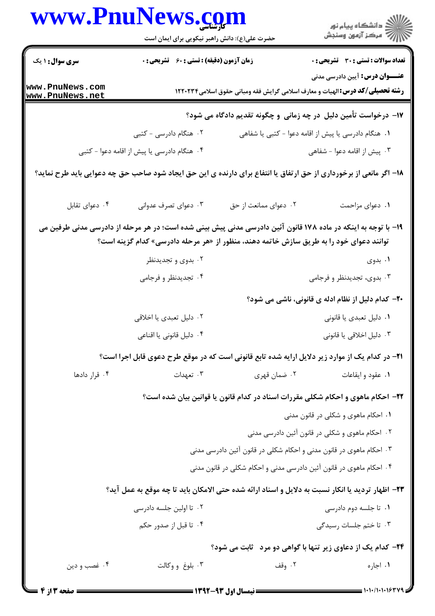|                        | حضرت علی(ع): دانش راهبر نیکویی برای ایمان است                                           |                                                                     | ر<br>پر دانشگاه پيام نور<br>پر مرکز آزمون وسنجش                                                                                |
|------------------------|-----------------------------------------------------------------------------------------|---------------------------------------------------------------------|--------------------------------------------------------------------------------------------------------------------------------|
| <b>سری سوال : ۱ یک</b> | <b>زمان آزمون (دقیقه) : تستی : 60 ٪ تشریحی : 0</b>                                      |                                                                     | <b>تعداد سوالات : تستی : 30 ٪ تشریحی : 0</b>                                                                                   |
| www.PnuNews.com        |                                                                                         |                                                                     | <b>عنــــوان درس:</b> آیین دادرسی مدنی<br><b>رشته تحصیلی/گد درس:</b> الهیات و معارف اسلامی گرایش فقه ومبانی حقوق اسلامی۱۲۲۰۲۳۴ |
| www.PnuNews.net        |                                                                                         |                                                                     | ۱۷– درخواست تأمین دلیل در چه زمانی و چگونه تقدیم دادگاه می شود؟                                                                |
|                        | ۰۲ هنگام دادرسی - کتبی                                                                  |                                                                     | ۰۱ هنگام دادرسی یا پیش از اقامه دعوا - کتبی یا شفاهی                                                                           |
|                        | ۰۴ هنگام دادرسی یا پیش از اقامه دعوا - کتبی                                             |                                                                     | ۰۳ پیش از اقامه دعوا - شفاهی                                                                                                   |
|                        |                                                                                         |                                                                     | ۱۸– اگر مانعی از برخورداری از حق ارتفاق یا انتفاع برای دارنده ی این حق ایجاد شود صاحب حق چه دعوایی باید طرح نماید؟             |
| ۰۴ دعوای تقابل         | ۰۳ دعوای تصرف عدوانی                                                                    | ۰۲ دعوای ممانعت از حق                                               | ٠١. دعواى مزاحمت                                                                                                               |
|                        |                                                                                         |                                                                     | ۱۹- با توجه به اینکه در ماده ۱۷۸ قانون آئین دادرسی مدنی پیش بینی شده است؛ در هر مرحله از دادرسی مدنی طرفین می                  |
|                        | توانند دعوای خود را به طریق سازش خاتمه دهند، منظور از «هر مرحله دادرسی» کدام گزینه است؟ |                                                                     |                                                                                                                                |
|                        | ۰۲ بدوی و تجدیدنظر                                                                      |                                                                     | ۰۱ بدوی                                                                                                                        |
|                        | ۰۴ تجدیدنظر و فرجامی                                                                    |                                                                     | ۰۳ بدوی، تجدیدنظر و فرجامی                                                                                                     |
|                        |                                                                                         |                                                                     | ۲۰– کدام دلیل از نظام ادله ی قانونی، ناشی می شود؟                                                                              |
|                        | ۰۲ دلیل تعبدی یا اخلاقی                                                                 |                                                                     | ۰۱ دلیل تعبدی یا قانونی                                                                                                        |
|                        | ۰۴ دلیل قانونی یا اقناعی                                                                |                                                                     | ۰۳ دلیل اخلاقی یا قانونی                                                                                                       |
|                        |                                                                                         |                                                                     | <b>۲۱</b> – در کدام یک از موارد زیر دلایل ارایه شده تابع قانونی است که در موقع طرح دعوی قابل اجرا است؟                         |
| ۰۴ قرار دادها          | ۰۳ تعهدات                                                                               | ۰۲ ضمان قهری                                                        | ۰۱ عقود و ایقاعات                                                                                                              |
|                        |                                                                                         |                                                                     | ۲۲- احکام ماهوی و احکام شکلی مقررات اسناد در کدام قانون یا قوانین بیان شده است؟                                                |
|                        |                                                                                         |                                                                     | ۰۱ احکام ماهوی و شکلی در قانون مدنی                                                                                            |
|                        |                                                                                         |                                                                     | ۰۲ احکام ماهوی و شکلی در قانون آئین دادرسی مدنی                                                                                |
|                        |                                                                                         | ۰۳ احکام ماهوی در قانون مدنی و احکام شکلی در قانون آئین دادرسی مدنی |                                                                                                                                |
|                        |                                                                                         | ۰۴ احکام ماهوی در قانون آئین دادرسی مدنی و احکام شکلی در قانون مدنی |                                                                                                                                |
|                        |                                                                                         |                                                                     | ٢٣- اظهار ترديد يا انكار نسبت به دلايل و اسناد ارائه شده حتى الامكان بايد تا چه موقع به عمل آيد؟                               |
|                        | ۰۲ تا اولین جلسه دادرسی                                                                 |                                                                     | ۰۱ تا جلسه دوم دادرسی                                                                                                          |
|                        | ۰۴ تا قبل از صدور حکم                                                                   |                                                                     | ۰۳ تا ختم جلسات رسیدگی                                                                                                         |
|                        |                                                                                         |                                                                     | <b>34- کدام یک از دعاوی زیر تنها با گواهی دو مرد پابت می شود؟</b>                                                              |
| ۰۴ غصب و دين           | ۰۳ بلوغ و وکالت                                                                         | ۰۲ وقف                                                              | ۰۱ اجاره                                                                                                                       |